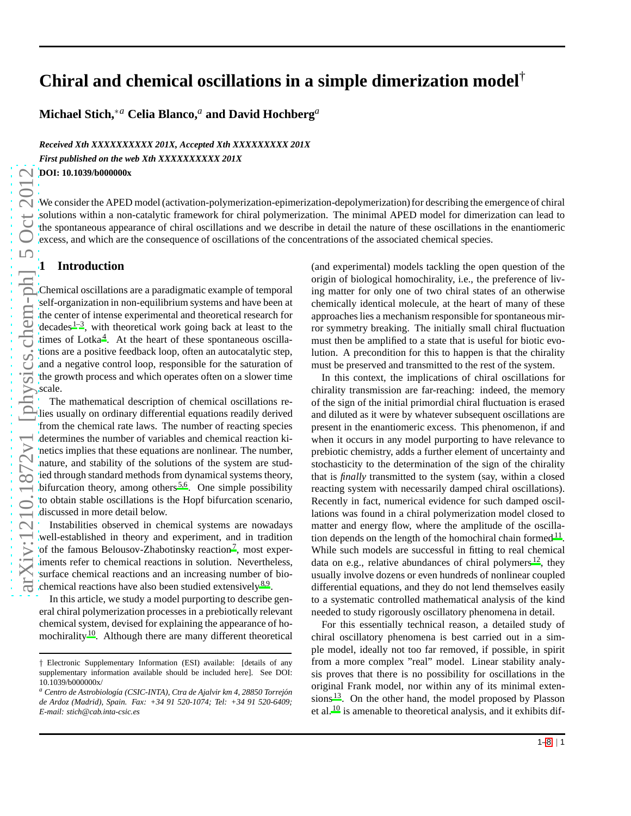# **Chiral and chemical oscillations in a simple dimerization model**†

**Michael Stich,**∗*<sup>a</sup>* **Celia Blanco,***<sup>a</sup>* **and David Hochberg***<sup>a</sup>*

*Received Xth XXXXXXXXXX 201X, Accepted Xth XXXXXXXXX 201X First published on the web Xth XXXXXXXXXX 201X*

**DOI: 10.1039/b000000x**

We consider the APED model (activation-polymerization-epimerization-depolymerization) for describing the emergence of chiral solutions within a non-catalytic framework for chiral polymerization. The minimal APED model for dimerization can lead to the spontaneous appearance of chiral oscillations and we describe in detail the nature of these oscillations in the enantiomeric excess, and which are the consequence of oscillations of the concentrations of the associated chemical species.

#### **1 Introduction**

Chemical oscillations are a paradigmatic example of temporal self-organization in non-equilibrium systems and have been at the center of intense experimental and theoretical research for decades  $1-3$  $1-3$ , with theoretical work going back at least to the times of Lotka<sup>[4](#page-7-2)</sup>. At the heart of these spontaneous oscillations are a positive feedback loop, often an autocatalytic step, and a negative control loop, responsible for the saturation of the growth process and which operates often on a slower time scale.

The mathematical description of chemical oscillations relies usually on ordinary differential equations readily derived from the chemical rate laws. The number of reacting species determines the number of variables and chemical reaction kinetics implies that these equations are nonlinear. The number, nature, and stability of the solutions of the system are studied through standard methods from dynamical systems theory, bifurcation theory, among others<sup>[5](#page-7-3)[,6](#page-7-4)</sup>. One simple possibility to obtain stable oscillations is the Hopf bifurcation scenario, discussed in more detail below.

Instabilities observed in chemical systems are nowadays well-established in theory and experiment, and in tradition of the famous Belousov-Zhabotinsky reaction<sup>[7](#page-7-5)</sup>, most experiments refer to chemical reactions in solution. Nevertheless, surface chemical reactions and an increasing number of bio-chemical reactions have also been studied extensively <sup>[8](#page-7-6)[,9](#page-7-7)</sup>.

In this article, we study a model purporting to describe general chiral polymerization processes in a prebiotically relevant chemical system, devised for explaining the appearance of ho-mochirality<sup>[10](#page-7-8)</sup>. Although there are many different theoretical (and experimental) models tackling the open question of the origin of biological homochirality, i.e., the preference of living matter for only one of two chiral states of an otherwise chemically identical molecule, at the heart of many of these approaches lies a mechanism responsible for spontaneous mirror symmetry breaking. The initially small chiral fluctuation must then be amplified to a state that is useful for biotic evolution. A precondition for this to happen is that the chirality must be preserved and transmitted to the rest of the system.

In this context, the implications of chiral oscillations for chirality transmission are far-reaching: indeed, the memory of the sign of the initial primordial chiral fluctuation is erased and diluted as it were by whatever subsequent oscillations are present in the enantiomeric excess. This phenomenon, if and when it occurs in any model purporting to have relevance to prebiotic chemistry, adds a further element of uncertainty and stochasticity to the determination of the sign of the chirality that is *finally* transmitted to the system (say, within a closed reacting system with necessarily damped chiral oscillations). Recently in fact, numerical evidence for such damped oscillations was found in a chiral polymerization model closed to matter and energy flow, where the amplitude of the oscillation depends on the length of the homochiral chain formed  $11$ . While such models are successful in fitting to real chemical data on e.g., relative abundances of chiral polymers  $^{12}$  $^{12}$  $^{12}$ , they usually involve dozens or even hundreds of nonlinear coupled differential equations, and they do not lend themselves easily to a systematic controlled mathematical analysis of the kind needed to study rigorously oscillatory phenomena in detail.

For this essentially technical reason, a detailed study of chiral oscillatory phenomena is best carried out in a simple model, ideally not too far removed, if possible, in spirit from a more complex "real" model. Linear stability analysis proves that there is no possibility for oscillations in the original Frank model, nor within any of its minimal extensions  $13$ . On the other hand, the model proposed by Plasson et al. [10](#page-7-8) is amenable to theoretical analysis, and it exhibits dif-

<sup>†</sup> Electronic Supplementary Information (ESI) available: [details of any supplementary information available should be included here]. See DOI: 10.1039/b000000x/

*<sup>a</sup> Centro de Astrobiolog´ıa (CSIC-INTA), Ctra de Ajalvir km 4, 28850 Torrej´on de Ardoz (Madrid), Spain. Fax: +34 91 520-1074; Tel: +34 91 520-6409; E-mail: stich@cab.inta-csic.es*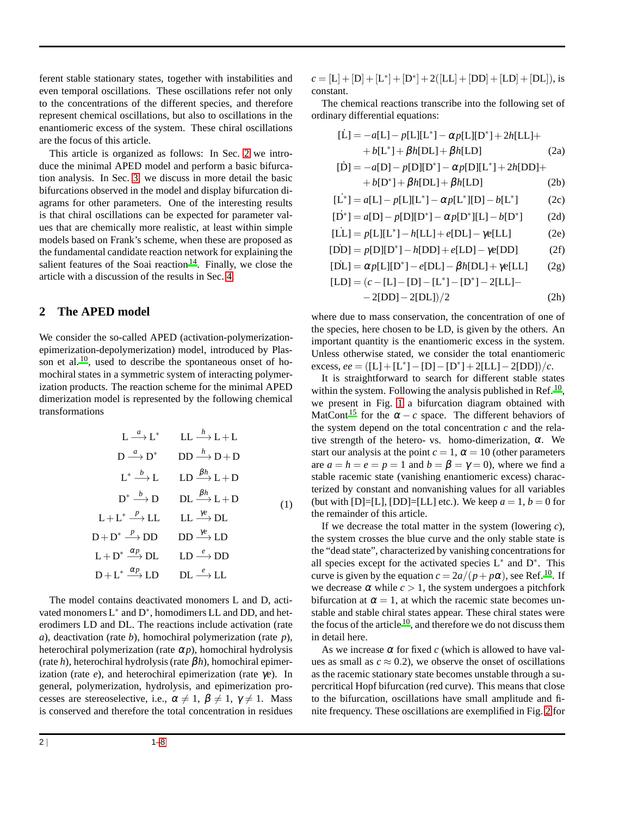ferent stable stationary states, together with instabilities and even temporal oscillations. These oscillations refer not only to the concentrations of the different species, and therefore represent chemical oscillations, but also to oscillations in the enantiomeric excess of the system. These chiral oscillations are the focus of this article.

This article is organized as follows: In Sec. [2](#page-1-0) we introduce the minimal APED model and perform a basic bifurcation analysis. In Sec. [3,](#page-3-0) we discuss in more detail the basic bifurcations observed in the model and display bifurcation diagrams for other parameters. One of the interesting results is that chiral oscillations can be expected for parameter values that are chemically more realistic, at least within simple models based on Frank's scheme, when these are proposed as the fundamental candidate reaction network for explaining the salient features of the Soai reaction<sup>[14](#page-7-13)</sup>. Finally, we close the article with a discussion of the results in Sec. [4.](#page-6-0)

## <span id="page-1-0"></span>**2 The APED model**

We consider the so-called APED (activation-polymerizationepimerization-depolymerization) model, introduced by Plasson et al.  $^{10}$  $^{10}$  $^{10}$ , used to describe the spontaneous onset of homochiral states in a symmetric system of interacting polymerization products. The reaction scheme for the minimal APED dimerization model is represented by the following chemical transformations

$$
L \xrightarrow{a} L^* \qquad LL \xrightarrow{h} L + L
$$
\n
$$
D \xrightarrow{a} D^* \qquad DD \xrightarrow{h} D + D
$$
\n
$$
L^* \xrightarrow{b} L \qquad LD \xrightarrow{\beta h} L + D
$$
\n
$$
D^* \xrightarrow{b} D \qquad DL \xrightarrow{\beta h} L + D
$$
\n
$$
L + L^* \xrightarrow{p} LL \qquad LL \xrightarrow{\gamma e} DL
$$
\n
$$
D + D^* \xrightarrow{p} DD \qquad DD \xrightarrow{\gamma e} LD
$$
\n
$$
L + D^* \xrightarrow{\alpha p} DL \qquad LD \xrightarrow{e} DD
$$
\n
$$
D + L^* \xrightarrow{\alpha p} LD \qquad LD \xrightarrow{e} LL
$$

The model contains deactivated monomers L and D, activated monomers  $L^*$  and  $D^*$ , homodimers LL and DD, and heterodimers LD and DL. The reactions include activation (rate *a*), deactivation (rate *b*), homochiral polymerization (rate *p*), heterochiral polymerization (rate  $\alpha p$ ), homochiral hydrolysis (rate *h*), heterochiral hydrolysis (rate β*h*), homochiral epimerization (rate *e*), and heterochiral epimerization (rate γ*e*). In general, polymerization, hydrolysis, and epimerization processes are stereoselective, i.e.,  $\alpha \neq 1$ ,  $\beta \neq 1$ ,  $\gamma \neq 1$ . Mass is conserved and therefore the total concentration in residues

 $c = [L] + [D] + [L^*] + [D^*] + 2([LL] + [DD] + [LD] + [DL]),$  is constant.

The chemical reactions transcribe into the following set of ordinary differential equations:

$$
[\dot{L}] = -a[L] - p[L][L^*] - \alpha p[L][D^*] + 2h[LL] ++ b[L^*] + \beta h[DL] + \beta h[LD]
$$
 (2a)  

$$
[\dot{D}] = -a[D] - p[D][D^*] - \alpha p[D][L^*] + 2h[DD] ++ b[D^*] + \beta h[DL] + \beta h[LD]
$$
 (2b)  

$$
[\dot{L}^*] = a[L] - p[L][L^*] - \alpha p[L^*][D] - b[L^*]
$$
 (2c)

$$
[\dot{D}^*] = a[D] - p[D][D^*] - \alpha p[D^*][L] - b[D^*]
$$
 (2d)

$$
[LL] = p[L][L^*] - h[LL] + e[DL] - \gamma e[LL] \tag{2e}
$$

$$
[DD] = p[D][D^*] - h[DD] + e[LD] - \gamma e[DD] \tag{2f}
$$

$$
[\dot{DL}] = \alpha p[L][D^*] - e[DL] - \beta h[DL] + \gamma e[LL] \qquad (2g)
$$

$$
[LD] = (c - [L] - [D] - [L^*] - [D^*] - 2[LL] -- 2[DD] - 2[DL])/2
$$
 (2h)

where due to mass conservation, the concentration of one of the species, here chosen to be LD, is given by the others. An important quantity is the enantiomeric excess in the system. Unless otherwise stated, we consider the total enantiomeric  $\text{excess}, ee = ([L] + [L^*] - [D] - [D^*] + 2[LL] - 2[DD])/c.$ 

It is straightforward to search for different stable states within the system. Following the analysis published in Ref.<sup>[10](#page-7-8)</sup>, we present in Fig. [1](#page-2-0) a bifurcation diagram obtained with MatCont<sup>[15](#page-7-14)</sup> for the  $\alpha - c$  space. The different behaviors of the system depend on the total concentration *c* and the relative strength of the hetero- vs. homo-dimerization,  $\alpha$ . We start our analysis at the point  $c = 1$ ,  $\alpha = 10$  (other parameters are  $a = h = e = p = 1$  and  $b = \beta = \gamma = 0$ , where we find a stable racemic state (vanishing enantiomeric excess) characterized by constant and nonvanishing values for all variables (but with  $[D]=[L]$ ,  $[DD]=[LL]$  etc.). We keep  $a=1, b=0$  for the remainder of this article.

If we decrease the total matter in the system (lowering *c*), the system crosses the blue curve and the only stable state is the "dead state", characterized by vanishing concentrations for all species except for the activated species L<sup>∗</sup> and D<sup>∗</sup> . This curve is given by the equation  $c = 2a/(p + p\alpha)$ , see Ref.<sup>[10](#page-7-8)</sup>. If we decrease  $\alpha$  while  $c > 1$ , the system undergoes a pitchfork bifurcation at  $\alpha = 1$ , at which the racemic state becomes unstable and stable chiral states appear. These chiral states were the focus of the article  $10$ , and therefore we do not discuss them in detail here.

As we increase  $\alpha$  for fixed *c* (which is allowed to have values as small as  $c \approx 0.2$ ), we observe the onset of oscillations as the racemic stationary state becomes unstable through a supercritical Hopf bifurcation (red curve). This means that close to the bifurcation, oscillations have small amplitude and finite frequency. These oscillations are exemplified in Fig. [2](#page-2-1) for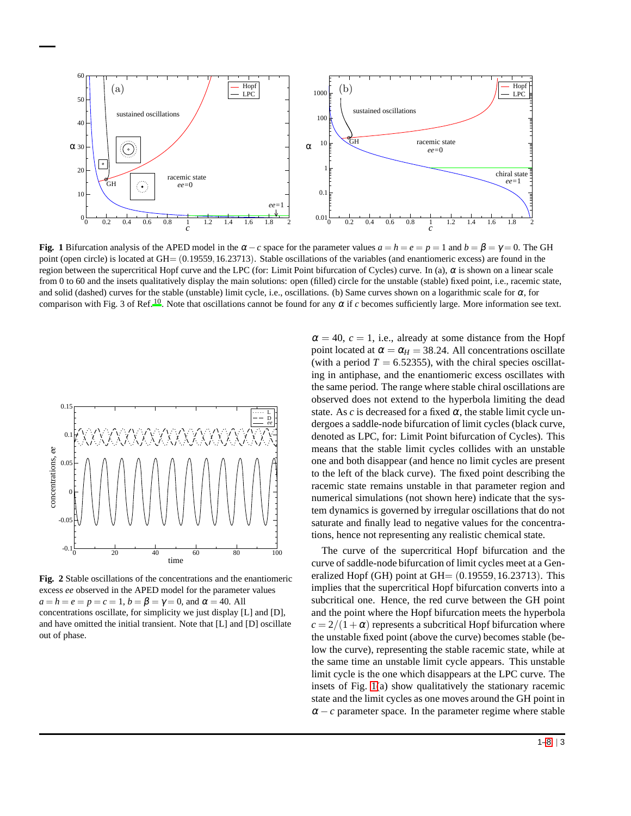<span id="page-2-0"></span>

**Fig. 1** Bifurcation analysis of the APED model in the  $\alpha - c$  space for the parameter values  $a = h = e = p = 1$  and  $b = \beta = \gamma = 0$ . The GH point (open circle) is located at GH=  $(0.19559, 16.23713)$ . Stable oscillations of the variables (and enantiomeric excess) are found in the region between the supercritical Hopf curve and the LPC (for: Limit Point bifurcation of Cycles) curve. In (a), α is shown on a linear scale from 0 to 60 and the insets qualitatively display the main solutions: open (filled) circle for the unstable (stable) fixed point, i.e., racemic state, and solid (dashed) curves for the stable (unstable) limit cycle, i.e., oscillations. (b) Same curves shown on a logarithmic scale for  $\alpha$ , for comparison with Fig. 3 of Ref.<sup>[10](#page-7-8)</sup>. Note that oscillations cannot be found for any  $\alpha$  if  $c$  becomes sufficiently large. More information see text.

<span id="page-2-1"></span>

**Fig. 2** Stable oscillations of the concentrations and the enantiomeric excess *ee* observed in the APED model for the parameter values  $a = h = e = p = c = 1, b = \beta = \gamma = 0$ , and  $\alpha = 40$ . All concentrations oscillate, for simplicity we just display [L] and [D], and have omitted the initial transient. Note that [L] and [D] oscillate out of phase.

 $\alpha = 40$ ,  $c = 1$ , i.e., already at some distance from the Hopf point located at  $\alpha = \alpha_H = 38.24$ . All concentrations oscillate (with a period  $T = 6.52355$ ), with the chiral species oscillating in antiphase, and the enantiomeric excess oscillates with the same period. The range where stable chiral oscillations are observed does not extend to the hyperbola limiting the dead state. As  $c$  is decreased for a fixed  $\alpha$ , the stable limit cycle undergoes a saddle-node bifurcation of limit cycles (black curve, denoted as LPC, for: Limit Point bifurcation of Cycles). This means that the stable limit cycles collides with an unstable one and both disappear (and hence no limit cycles are present to the left of the black curve). The fixed point describing the racemic state remains unstable in that parameter region and numerical simulations (not shown here) indicate that the system dynamics is governed by irregular oscillations that do not saturate and finally lead to negative values for the concentrations, hence not representing any realistic chemical state.

The curve of the supercritical Hopf bifurcation and the curve of saddle-node bifurcation of limit cycles meet at a Generalized Hopf (GH) point at  $GH = (0.19559, 16.23713)$ . This implies that the supercritical Hopf bifurcation converts into a subcritical one. Hence, the red curve between the GH point and the point where the Hopf bifurcation meets the hyperbola  $c = 2/(1+\alpha)$  represents a subcritical Hopf bifurcation where the unstable fixed point (above the curve) becomes stable (below the curve), representing the stable racemic state, while at the same time an unstable limit cycle appears. This unstable limit cycle is the one which disappears at the LPC curve. The insets of Fig. [1\(](#page-2-0)a) show qualitatively the stationary racemic state and the limit cycles as one moves around the GH point in  $\alpha - c$  parameter space. In the parameter regime where stable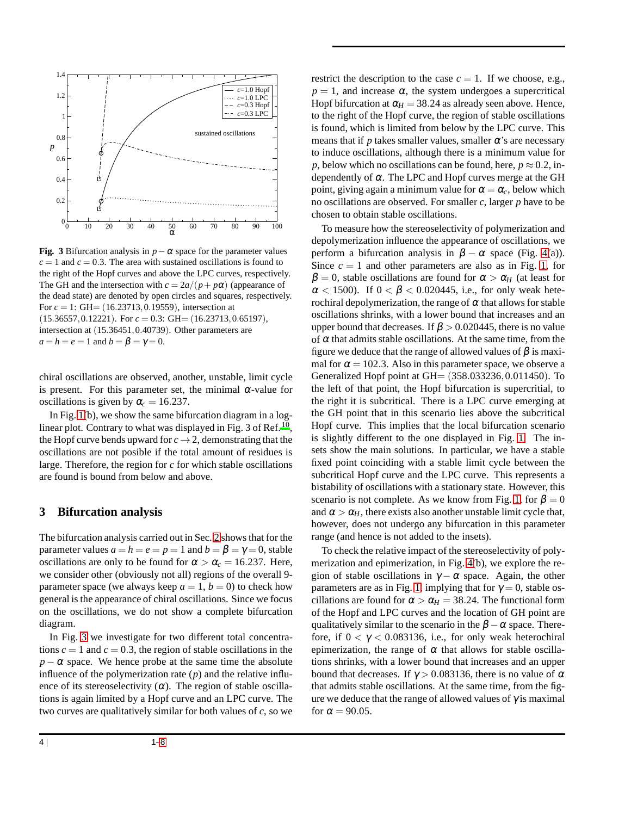<span id="page-3-1"></span>

**Fig. 3** Bifurcation analysis in  $p - \alpha$  space for the parameter values  $c = 1$  and  $c = 0.3$ . The area with sustained oscillations is found to the right of the Hopf curves and above the LPC curves, respectively. The GH and the intersection with  $c = 2a/(p + p\alpha)$  (appearance of the dead state) are denoted by open circles and squares, respectively. For *c* = 1: GH= (16.23713,0.19559), intersection at (15.36557,0.12221). For *c* = 0.3: GH= (16.23713,0.65197), intersection at  $(15.36451, 0.40739)$ . Other parameters are  $a = h = e = 1$  and  $b = \beta = \gamma = 0$ .

chiral oscillations are observed, another, unstable, limit cycle is present. For this parameter set, the minimal  $\alpha$ -value for oscillations is given by  $\alpha_c = 16.237$ .

In Fig.  $1(b)$ , we show the same bifurcation diagram in a log-linear plot. Contrary to what was displayed in Fig. 3 of Ref.<sup>[10](#page-7-8)</sup>, the Hopf curve bends upward for  $c \to 2$ , demonstrating that the oscillations are not posible if the total amount of residues is large. Therefore, the region for *c* for which stable oscillations are found is bound from below and above.

#### <span id="page-3-0"></span>**3 Bifurcation analysis**

The bifurcation analysis carried out in Sec. [2](#page-1-0) shows that for the parameter values  $a = h = e = p = 1$  and  $b = \beta = \gamma = 0$ , stable oscillations are only to be found for  $\alpha > \alpha_c = 16.237$ . Here, we consider other (obviously not all) regions of the overall 9 parameter space (we always keep  $a = 1$ ,  $b = 0$ ) to check how general is the appearance of chiral oscillations. Since we focus on the oscillations, we do not show a complete bifurcation diagram.

In Fig. [3](#page-3-1) we investigate for two different total concentrations  $c = 1$  and  $c = 0.3$ , the region of stable oscillations in the  $p - \alpha$  space. We hence probe at the same time the absolute influence of the polymerization rate  $(p)$  and the relative influence of its stereoselectivity  $(\alpha)$ . The region of stable oscillations is again limited by a Hopf curve and an LPC curve. The two curves are qualitatively similar for both values of *c*, so we

restrict the description to the case  $c = 1$ . If we choose, e.g.,  $p = 1$ , and increase  $\alpha$ , the system undergoes a supercritical Hopf bifurcation at  $\alpha_H = 38.24$  as already seen above. Hence, to the right of the Hopf curve, the region of stable oscillations is found, which is limited from below by the LPC curve. This means that if  $p$  takes smaller values, smaller  $\alpha$ 's are necessary to induce oscillations, although there is a minimum value for *p*, below which no oscillations can be found, here,  $p \approx 0.2$ , independently of  $\alpha$ . The LPC and Hopf curves merge at the GH point, giving again a minimum value for  $\alpha = \alpha_c$ , below which no oscillations are observed. For smaller *c*, larger *p* have to be chosen to obtain stable oscillations.

To measure how the stereoselectivity of polymerization and depolymerization influence the appearance of oscillations, we perform a bifurcation analysis in  $\beta - \alpha$  space (Fig. [4\(](#page-4-0)a)). Since  $c = 1$  and other parameters are also as in Fig. [1,](#page-2-0) for  $\beta = 0$ , stable oscillations are found for  $\alpha > \alpha_H$  (at least for  $\alpha$  < 1500). If  $0 < \beta < 0.020445$ , i.e., for only weak heterochiral depolymerization, the range of  $\alpha$  that allows for stable oscillations shrinks, with a lower bound that increases and an upper bound that decreases. If  $\beta > 0.020445$ , there is no value of  $\alpha$  that admits stable oscillations. At the same time, from the figure we deduce that the range of allowed values of  $\beta$  is maximal for  $\alpha = 102.3$ . Also in this parameter space, we observe a Generalized Hopf point at GH= (358.033236,0.011450). To the left of that point, the Hopf bifurcation is supercritial, to the right it is subcritical. There is a LPC curve emerging at the GH point that in this scenario lies above the subcritical Hopf curve. This implies that the local bifurcation scenario is slightly different to the one displayed in Fig. [1.](#page-2-0) The insets show the main solutions. In particular, we have a stable fixed point coinciding with a stable limit cycle between the subcritical Hopf curve and the LPC curve. This represents a bistability of oscillations with a stationary state. However, this scenario is not complete. As we know from Fig. [1,](#page-2-0) for  $\beta = 0$ and  $\alpha > \alpha_H$ , there exists also another unstable limit cycle that, however, does not undergo any bifurcation in this parameter range (and hence is not added to the insets).

To check the relative impact of the stereoselectivity of polymerization and epimerization, in Fig. [4\(](#page-4-0)b), we explore the region of stable oscillations in  $\gamma - \alpha$  space. Again, the other parameters are as in Fig. [1,](#page-2-0) implying that for  $\gamma = 0$ , stable oscillations are found for  $\alpha > \alpha_H = 38.24$ . The functional form of the Hopf and LPC curves and the location of GH point are qualitatively similar to the scenario in the  $\beta - \alpha$  space. Therefore, if  $0 < \gamma < 0.083136$ , i.e., for only weak heterochiral epimerization, the range of  $\alpha$  that allows for stable oscillations shrinks, with a lower bound that increases and an upper bound that decreases. If  $\gamma > 0.083136$ , there is no value of  $\alpha$ that admits stable oscillations. At the same time, from the figure we deduce that the range of allowed values of  $\gamma$  is maximal for  $\alpha = 90.05$ .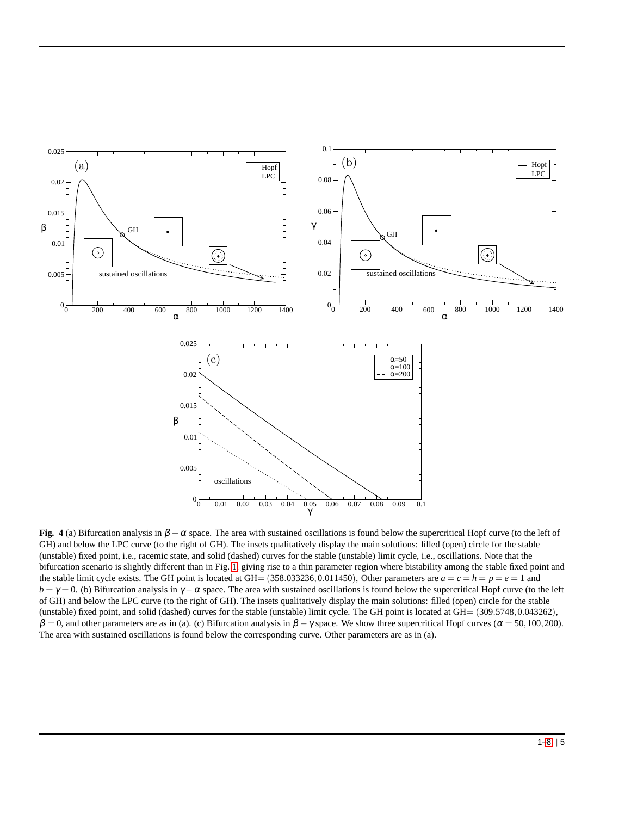<span id="page-4-0"></span>

**Fig. 4** (a) Bifurcation analysis in  $\beta - \alpha$  space. The area with sustained oscillations is found below the supercritical Hopf curve (to the left of GH) and below the LPC curve (to the right of GH). The insets qualitatively display the main solutions: filled (open) circle for the stable (unstable) fixed point, i.e., racemic state, and solid (dashed) curves for the stable (unstable) limit cycle, i.e., oscillations. Note that the bifurcation scenario is slightly different than in Fig. [1,](#page-2-0) giving rise to a thin parameter region where bistability among the stable fixed point and the stable limit cycle exists. The GH point is located at GH=  $(358.033236, 0.011450)$ , Other parameters are  $a = c = h = p = e = 1$  and  $b = \gamma = 0$ . (b) Bifurcation analysis in  $\gamma - \alpha$  space. The area with sustained oscillations is found below the supercritical Hopf curve (to the left of GH) and below the LPC curve (to the right of GH). The insets qualitatively display the main solutions: filled (open) circle for the stable (unstable) fixed point, and solid (dashed) curves for the stable (unstable) limit cycle. The GH point is located at GH= (309.5748,0.043262),  $β = 0$ , and other parameters are as in (a). (c) Bifurcation analysis in  $β - γ$  space. We show three supercritical Hopf curves ( $α = 50,100,200$ ). The area with sustained oscillations is found below the corresponding curve. Other parameters are as in (a).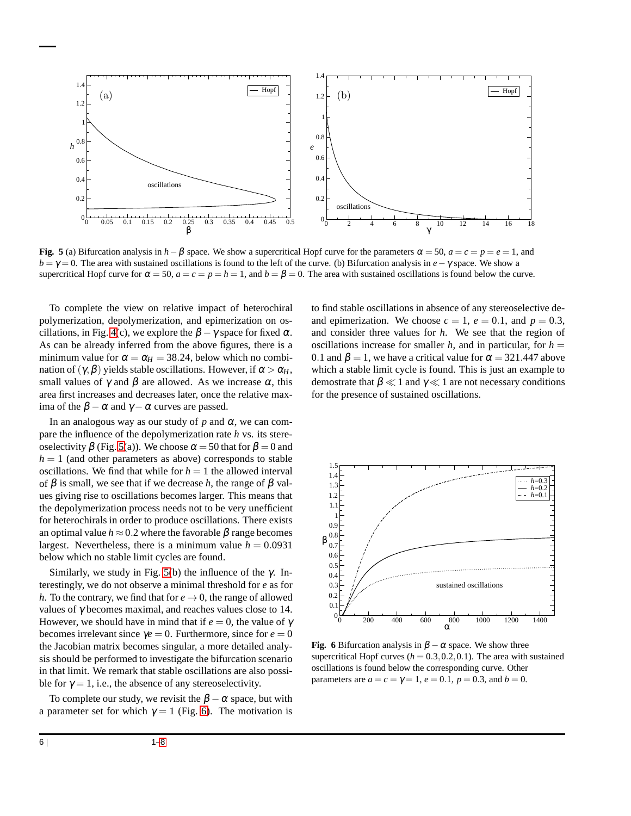<span id="page-5-0"></span>

**Fig.** 5 (a) Bifurcation analysis in  $h - \beta$  space. We show a supercritical Hopf curve for the parameters  $\alpha = 50$ ,  $a = c = p = e = 1$ , and *b* = γ = 0. The area with sustained oscillations is found to the left of the curve. (b) Bifurcation analysis in *e*−γ space. We show a supercritical Hopf curve for  $\alpha = 50$ ,  $a = c = p = h = 1$ , and  $b = \beta = 0$ . The area with sustained oscillations is found below the curve.

To complete the view on relative impact of heterochiral polymerization, depolymerization, and epimerization on os-cillations, in Fig. [4\(](#page-4-0)c), we explore the  $\beta - \gamma$  space for fixed  $\alpha$ . As can be already inferred from the above figures, there is a minimum value for  $\alpha = \alpha_H = 38.24$ , below which no combination of  $(\gamma, \beta)$  yields stable oscillations. However, if  $\alpha > \alpha_H$ , small values of  $\gamma$  and  $\beta$  are allowed. As we increase  $\alpha$ , this area first increases and decreases later, once the relative maxima of the  $\beta - \alpha$  and  $\gamma - \alpha$  curves are passed.

In an analogous way as our study of  $p$  and  $\alpha$ , we can compare the influence of the depolymerization rate *h* vs. its stereoselectivity  $\beta$  (Fig. [5\(](#page-5-0)a)). We choose  $\alpha = 50$  that for  $\beta = 0$  and  $h = 1$  (and other parameters as above) corresponds to stable oscillations. We find that while for  $h = 1$  the allowed interval of  $\beta$  is small, we see that if we decrease *h*, the range of  $\beta$  values giving rise to oscillations becomes larger. This means that the depolymerization process needs not to be very unefficient for heterochirals in order to produce oscillations. There exists an optimal value  $h \approx 0.2$  where the favorable  $\beta$  range becomes largest. Nevertheless, there is a minimum value  $h = 0.0931$ below which no stable limit cycles are found.

Similarly, we study in Fig. [5\(](#page-5-0)b) the influence of the  $\gamma$ . Interestingly, we do not observe a minimal threshold for *e* as for *h*. To the contrary, we find that for  $e \rightarrow 0$ , the range of allowed values of γ becomes maximal, and reaches values close to 14. However, we should have in mind that if  $e = 0$ , the value of  $\gamma$ becomes irrelevant since  $\gamma e = 0$ . Furthermore, since for  $e = 0$ the Jacobian matrix becomes singular, a more detailed analysis should be performed to investigate the bifurcation scenario in that limit. We remark that stable oscillations are also possible for  $\gamma = 1$ , i.e., the absence of any stereoselectivity.

To complete our study, we revisit the  $\beta - \alpha$  space, but with a parameter set for which  $\gamma = 1$  (Fig. [6\)](#page-5-1). The motivation is

to find stable oscillations in absence of any stereoselective deand epimerization. We choose  $c = 1$ ,  $e = 0.1$ , and  $p = 0.3$ , and consider three values for *h*. We see that the region of oscillations increase for smaller  $h$ , and in particular, for  $h =$ 0.1 and  $\beta = 1$ , we have a critical value for  $\alpha = 321.447$  above which a stable limit cycle is found. This is just an example to demostrate that  $\beta \ll 1$  and  $\gamma \ll 1$  are not necessary conditions for the presence of sustained oscillations.

<span id="page-5-1"></span>

**Fig. 6** Bifurcation analysis in  $\beta - \alpha$  space. We show three supercritical Hopf curves  $(h = 0.3, 0.2, 0.1)$ . The area with sustained oscillations is found below the corresponding curve. Other parameters are  $a = c = \gamma = 1$ ,  $e = 0.1$ ,  $p = 0.3$ , and  $b = 0$ .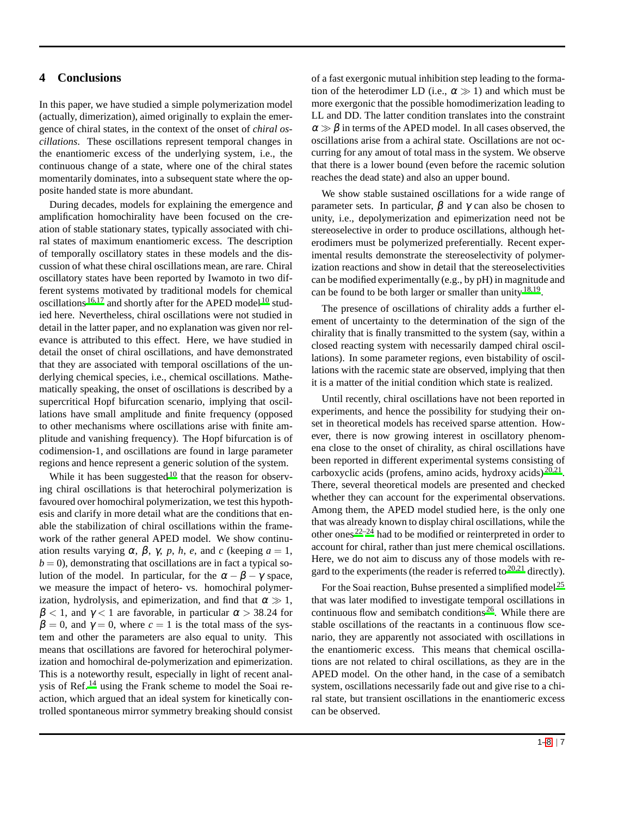### <span id="page-6-0"></span>**4 Conclusions**

In this paper, we have studied a simple polymerization model (actually, dimerization), aimed originally to explain the emergence of chiral states, in the context of the onset of *chiral oscillations*. These oscillations represent temporal changes in the enantiomeric excess of the underlying system, i.e., the continuous change of a state, where one of the chiral states momentarily dominates, into a subsequent state where the opposite handed state is more abundant.

During decades, models for explaining the emergence and amplification homochirality have been focused on the creation of stable stationary states, typically associated with chiral states of maximum enantiomeric excess. The description of temporally oscillatory states in these models and the discussion of what these chiral oscillations mean, are rare. Chiral oscillatory states have been reported by Iwamoto in two different systems motivated by traditional models for chemical oscillations  $16,17$  $16,17$  and shortly after for the APED model  $10$  studied here. Nevertheless, chiral oscillations were not studied in detail in the latter paper, and no explanation was given nor relevance is attributed to this effect. Here, we have studied in detail the onset of chiral oscillations, and have demonstrated that they are associated with temporal oscillations of the underlying chemical species, i.e., chemical oscillations. Mathematically speaking, the onset of oscillations is described by a supercritical Hopf bifurcation scenario, implying that oscillations have small amplitude and finite frequency (opposed to other mechanisms where oscillations arise with finite amplitude and vanishing frequency). The Hopf bifurcation is of codimension-1, and oscillations are found in large parameter regions and hence represent a generic solution of the system.

While it has been suggested<sup>[10](#page-7-8)</sup> that the reason for observing chiral oscillations is that heterochiral polymerization is favoured over homochiral polymerization, we test this hypothesis and clarify in more detail what are the conditions that enable the stabilization of chiral oscillations within the framework of the rather general APED model. We show continuation results varying  $\alpha$ ,  $\beta$ ,  $\gamma$ ,  $p$ ,  $h$ ,  $e$ , and *c* (keeping *a* = 1,  $b = 0$ , demonstrating that oscillations are in fact a typical solution of the model. In particular, for the  $\alpha - \beta - \gamma$  space, we measure the impact of hetero- vs. homochiral polymerization, hydrolysis, and epimerization, and find that  $\alpha \gg 1$ ,  $\beta$  < 1, and  $\gamma$  < 1 are favorable, in particular  $\alpha$  > 38.24 for  $\beta = 0$ , and  $\gamma = 0$ , where  $c = 1$  is the total mass of the system and other the parameters are also equal to unity. This means that oscillations are favored for heterochiral polymerization and homochiral de-polymerization and epimerization. This is a noteworthy result, especially in light of recent analysis of Ref. [14](#page-7-13) using the Frank scheme to model the Soai reaction, which argued that an ideal system for kinetically controlled spontaneous mirror symmetry breaking should consist of a fast exergonic mutual inhibition step leading to the formation of the heterodimer LD (i.e.,  $\alpha \gg 1$ ) and which must be more exergonic that the possible homodimerization leading to LL and DD. The latter condition translates into the constraint  $\alpha \gg \beta$  in terms of the APED model. In all cases observed, the oscillations arise from a achiral state. Oscillations are not occurring for any amout of total mass in the system. We observe that there is a lower bound (even before the racemic solution reaches the dead state) and also an upper bound.

We show stable sustained oscillations for a wide range of parameter sets. In particular,  $\beta$  and  $\gamma$  can also be chosen to unity, i.e., depolymerization and epimerization need not be stereoselective in order to produce oscillations, although heterodimers must be polymerized preferentially. Recent experimental results demonstrate the stereoselectivity of polymerization reactions and show in detail that the stereoselectivities can be modified experimentally (e.g., by pH) in magnitude and can be found to be both larger or smaller than unity  $18,19$  $18,19$ .

The presence of oscillations of chirality adds a further element of uncertainty to the determination of the sign of the chirality that is finally transmitted to the system (say, within a closed reacting system with necessarily damped chiral oscillations). In some parameter regions, even bistability of oscillations with the racemic state are observed, implying that then it is a matter of the initial condition which state is realized.

Until recently, chiral oscillations have not been reported in experiments, and hence the possibility for studying their onset in theoretical models has received sparse attention. However, there is now growing interest in oscillatory phenomena close to the onset of chirality, as chiral oscillations have been reported in different experimental systems consisting of carboxyclic acids (profens, amino acids, hydroxy acids)<sup>[20](#page-7-19)[,21](#page-7-20)</sup>. There, several theoretical models are presented and checked whether they can account for the experimental observations. Among them, the APED model studied here, is the only one that was already known to display chiral oscillations, while the other ones  $22-24$  $22-24$  had to be modified or reinterpreted in order to account for chiral, rather than just mere chemical oscillations. Here, we do not aim to discuss any of those models with regard to the experiments (the reader is referred to  $20,21$  $20,21$  directly).

For the Soai reaction, Buhse presented a simplified model<sup>[25](#page-7-23)</sup> that was later modified to investigate temporal oscillations in continuous flow and semibatch conditions  $26$ . While there are stable oscillations of the reactants in a continuous flow scenario, they are apparently not associated with oscillations in the enantiomeric excess. This means that chemical oscillations are not related to chiral oscillations, as they are in the APED model. On the other hand, in the case of a semibatch system, oscillations necessarily fade out and give rise to a chiral state, but transient oscillations in the enantiomeric excess can be observed.